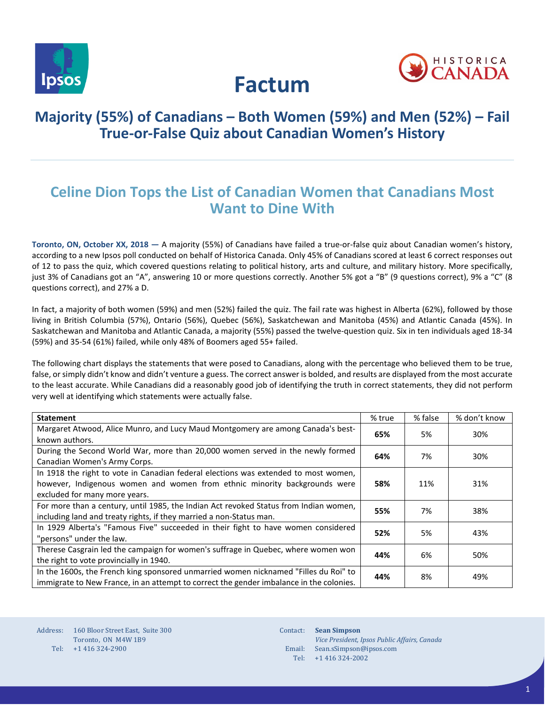



# **Factum**

# **Majority (55%) of Canadians – Both Women (59%) and Men (52%) – Fail True-or-False Quiz about Canadian Women's History**

# **Celine Dion Tops the List of Canadian Women that Canadians Most Want to Dine With**

**Toronto, ON, October XX, 2018 —** A majority (55%) of Canadians have failed a true-or-false quiz about Canadian women's history, according to a new Ipsos poll conducted on behalf of Historica Canada. Only 45% of Canadians scored at least 6 correct responses out of 12 to pass the quiz, which covered questions relating to political history, arts and culture, and military history. More specifically, just 3% of Canadians got an "A", answering 10 or more questions correctly. Another 5% got a "B" (9 questions correct), 9% a "C" (8 questions correct), and 27% a D.

In fact, a majority of both women (59%) and men (52%) failed the quiz. The fail rate was highest in Alberta (62%), followed by those living in British Columbia (57%), Ontario (56%), Quebec (56%), Saskatchewan and Manitoba (45%) and Atlantic Canada (45%). In Saskatchewan and Manitoba and Atlantic Canada, a majority (55%) passed the twelve-question quiz. Six in ten individuals aged 18-34 (59%) and 35-54 (61%) failed, while only 48% of Boomers aged 55+ failed.

The following chart displays the statements that were posed to Canadians, along with the percentage who believed them to be true, false, or simply didn't know and didn't venture a guess. The correct answer is bolded, and results are displayed from the most accurate to the least accurate. While Canadians did a reasonably good job of identifying the truth in correct statements, they did not perform very well at identifying which statements were actually false.

| <b>Statement</b>                                                                                                                                                                                  | % true | % false | % don't know |
|---------------------------------------------------------------------------------------------------------------------------------------------------------------------------------------------------|--------|---------|--------------|
| Margaret Atwood, Alice Munro, and Lucy Maud Montgomery are among Canada's best-<br>known authors.                                                                                                 | 65%    | 5%      | 30%          |
| During the Second World War, more than 20,000 women served in the newly formed<br>Canadian Women's Army Corps.                                                                                    | 64%    | 7%      | 30%          |
| In 1918 the right to vote in Canadian federal elections was extended to most women,<br>however, Indigenous women and women from ethnic minority backgrounds were<br>excluded for many more years. | 58%    | 11%     | 31%          |
| For more than a century, until 1985, the Indian Act revoked Status from Indian women,<br>including land and treaty rights, if they married a non-Status man.                                      | 55%    | 7%      | 38%          |
| In 1929 Alberta's "Famous Five" succeeded in their fight to have women considered<br>"persons" under the law.                                                                                     | 52%    | 5%      | 43%          |
| Therese Casgrain led the campaign for women's suffrage in Quebec, where women won<br>the right to vote provincially in 1940.                                                                      |        | 6%      | 50%          |
| In the 1600s, the French king sponsored unmarried women nicknamed "Filles du Roi" to<br>immigrate to New France, in an attempt to correct the gender imbalance in the colonies.                   | 44%    | 8%      | 49%          |

Contact: Email: Sean.sSimpson@ipsos.com Tel: **Sean Simpson** *Vice President, Ipsos Public Affairs, Canada*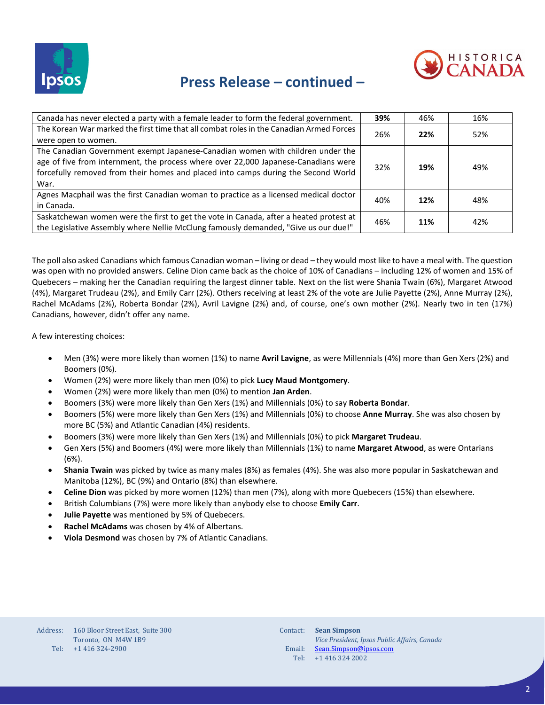



## **Press Release – continued –**

| Canada has never elected a party with a female leader to form the federal government.           | 39% | 46% | 16% |
|-------------------------------------------------------------------------------------------------|-----|-----|-----|
| The Korean War marked the first time that all combat roles in the Canadian Armed Forces         |     | 22% | 52% |
| 26%<br>were open to women.                                                                      |     |     |     |
| The Canadian Government exempt Japanese-Canadian women with children under the                  |     |     |     |
| age of five from internment, the process where over 22,000 Japanese-Canadians were              |     |     |     |
| 32%<br>19%<br>forcefully removed from their homes and placed into camps during the Second World |     | 49% |     |
| War.                                                                                            |     |     |     |
| Agnes Macphail was the first Canadian woman to practice as a licensed medical doctor            |     |     |     |
| in Canada.                                                                                      | 40% | 12% | 48% |
| Saskatchewan women were the first to get the vote in Canada, after a heated protest at          |     |     |     |
| the Legislative Assembly where Nellie McClung famously demanded, "Give us our due!"             | 46% | 11% | 42% |

The poll also asked Canadians which famous Canadian woman – living or dead – they would most like to have a meal with. The question was open with no provided answers. Celine Dion came back as the choice of 10% of Canadians – including 12% of women and 15% of Quebecers – making her the Canadian requiring the largest dinner table. Next on the list were Shania Twain (6%), Margaret Atwood (4%), Margaret Trudeau (2%), and Emily Carr (2%). Others receiving at least 2% of the vote are Julie Payette (2%), Anne Murray (2%), Rachel McAdams (2%), Roberta Bondar (2%), Avril Lavigne (2%) and, of course, one's own mother (2%). Nearly two in ten (17%) Canadians, however, didn't offer any name.

A few interesting choices:

- Men (3%) were more likely than women (1%) to name **Avril Lavigne**, as were Millennials (4%) more than Gen Xers (2%) and Boomers (0%).
- Women (2%) were more likely than men (0%) to pick **Lucy Maud Montgomery**.
- Women (2%) were more likely than men (0%) to mention **Jan Arden**.
- Boomers (3%) were more likely than Gen Xers (1%) and Millennials (0%) to say **Roberta Bondar**.
- Boomers (5%) were more likely than Gen Xers (1%) and Millennials (0%) to choose **Anne Murray**. She was also chosen by more BC (5%) and Atlantic Canadian (4%) residents.
- Boomers (3%) were more likely than Gen Xers (1%) and Millennials (0%) to pick **Margaret Trudeau**.
- Gen Xers (5%) and Boomers (4%) were more likely than Millennials (1%) to name **Margaret Atwood**, as were Ontarians (6%).
- **Shania Twain** was picked by twice as many males (8%) as females (4%). She was also more popular in Saskatchewan and Manitoba (12%), BC (9%) and Ontario (8%) than elsewhere.
- **Celine Dion** was picked by more women (12%) than men (7%), along with more Quebecers (15%) than elsewhere.
- British Columbians (7%) were more likely than anybody else to choose **Emily Carr**.
- **Julie Payette** was mentioned by 5% of Quebecers.
- **Rachel McAdams** was chosen by 4% of Albertans.
- **Viola Desmond** was chosen by 7% of Atlantic Canadians.

| Contact: | <b>Sean Simpson</b>                          |
|----------|----------------------------------------------|
|          | Vice President, Ipsos Public Affairs, Canada |
| Email:   | Sean.Simpson@ipsos.com                       |
| Tel:     | $+1$ 416 324 2002                            |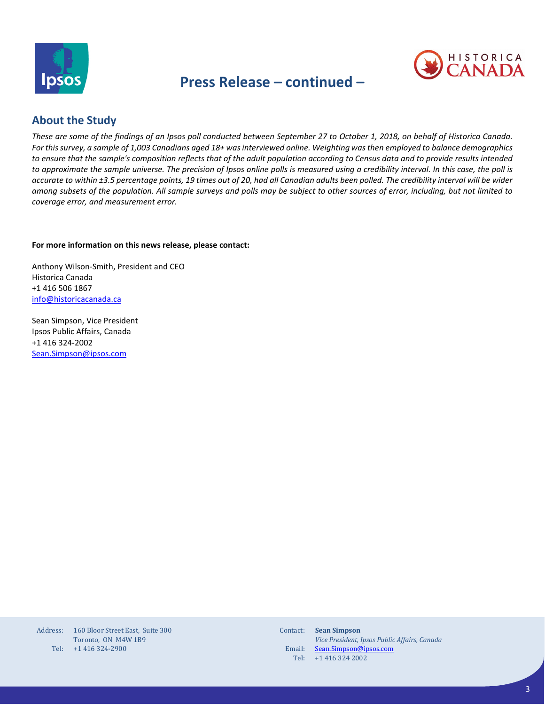

### **Press Release – continued –**



### **About the Study**

*These are some of the findings of an Ipsos poll conducted between September 27 to October 1, 2018, on behalf of Historica Canada. For this survey, a sample of 1,003 Canadians aged 18+ wasinterviewed online. Weighting was then employed to balance demographics to ensure that the sample's composition reflects that of the adult population according to Census data and to provide results intended to approximate the sample universe. The precision of Ipsos online polls is measured using a credibility interval. In this case, the poll is accurate to within ±3.5 percentage points, 19 times out of 20, had all Canadian adults been polled. The credibility interval will be wider among subsets of the population. All sample surveys and polls may be subject to other sources of error, including, but not limited to coverage error, and measurement error.*

#### **For more information on this news release, please contact:**

Anthony Wilson-Smith, President and CEO Historica Canada +1 416 506 1867 [info@historicacanada.ca](mailto:info@historicacanada.ca)

Sean Simpson, Vice President Ipsos Public Affairs, Canada +1 416 324-2002 [Sean.Simpson@ipsos.com](mailto:Sean.Simpson@ipsos.com)

| Address: | 160 Bloor Street East. Suite 300 |
|----------|----------------------------------|
|          | Toronto, ON M4W 1B9              |
| Tel:     | +1 416 324-2900                  |

| Contact: | <b>Sean Simpson</b>                          |
|----------|----------------------------------------------|
|          | Vice President, Ipsos Public Affairs, Canada |
| Email:   | Sean.Simpson@ipsos.com                       |
| Tel:     | $+1$ 416 324 2002                            |